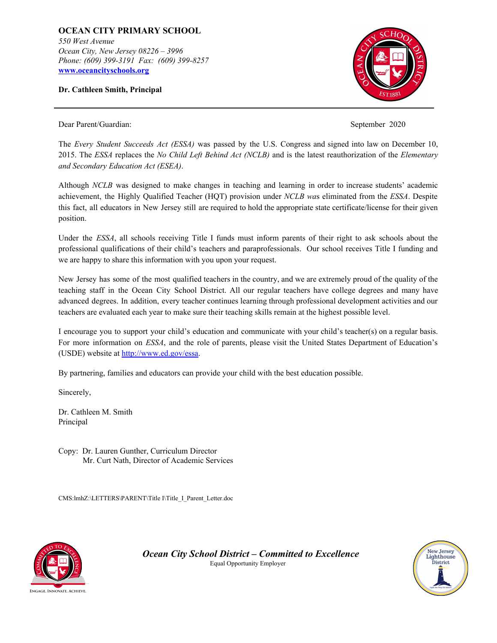**OCEAN CITY PRIMARY SCHOOL** *550 West Avenue Ocean City, New Jersey 08226 – 3996 Phone: (609) 399-3191 Fax: (609) 399-8257* **[www.oceancityschools.org](http://www.oceancityschools.org/)**

**Dr. Cathleen Smith, Principal**



Dear Parent/Guardian: September 2020

The *Every Student Succeeds Act (ESSA)* was passed by the U.S. Congress and signed into law on December 10, 2015. The *ESSA* replaces the *No Child Left Behind Act (NCLB)* and is the latest reauthorization of the *Elementary and Secondary Education Act (ESEA)*.

Although *NCLB* was designed to make changes in teaching and learning in order to increase students' academic achievement, the Highly Qualified Teacher (HQT) provision under *NCLB wa*s eliminated from the *ESSA*. Despite this fact, all educators in New Jersey still are required to hold the appropriate state certificate/license for their given position.

Under the *ESSA*, all schools receiving Title I funds must inform parents of their right to ask schools about the professional qualifications of their child's teachers and paraprofessionals. Our school receives Title I funding and we are happy to share this information with you upon your request.

New Jersey has some of the most qualified teachers in the country, and we are extremely proud of the quality of the teaching staff in the Ocean City School District. All our regular teachers have college degrees and many have advanced degrees. In addition, every teacher continues learning through professional development activities and our teachers are evaluated each year to make sure their teaching skills remain at the highest possible level.

I encourage you to support your child's education and communicate with your child's teacher(s) on a regular basis. For more information on *ESSA*, and the role of parents, please visit the United States Department of Education's (USDE) website at <http://www.ed.gov/essa>.

By partnering, families and educators can provide your child with the best education possible.

Sincerely,

Dr. Cathleen M. Smith Principal

Copy: Dr. Lauren Gunther, Curriculum Director Mr. Curt Nath, Director of Academic Services

CMS:lmhZ:\LETTERS\PARENT\Title I\Title\_I\_Parent\_Letter.doc



*Ocean City School District – Committed to Excellence* Equal Opportunity Employer